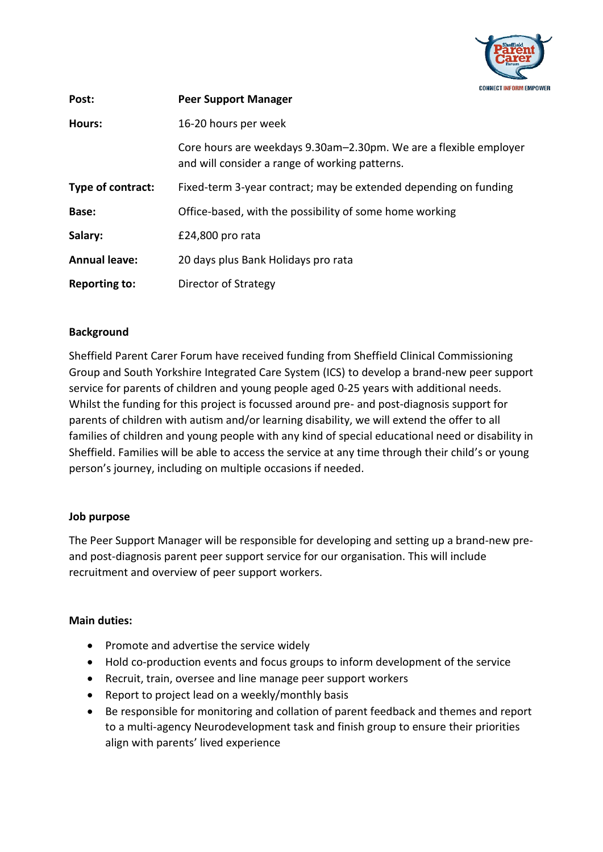

| Post:                | <b>Peer Support Manager</b>                                                                                         |
|----------------------|---------------------------------------------------------------------------------------------------------------------|
| Hours:               | 16-20 hours per week                                                                                                |
|                      | Core hours are weekdays 9.30am–2.30pm. We are a flexible employer<br>and will consider a range of working patterns. |
| Type of contract:    | Fixed-term 3-year contract; may be extended depending on funding                                                    |
| Base:                | Office-based, with the possibility of some home working                                                             |
| Salary:              | £24,800 pro rata                                                                                                    |
| <b>Annual leave:</b> | 20 days plus Bank Holidays pro rata                                                                                 |
| <b>Reporting to:</b> | Director of Strategy                                                                                                |

## **Background**

Sheffield Parent Carer Forum have received funding from Sheffield Clinical Commissioning Group and South Yorkshire Integrated Care System (ICS) to develop a brand-new peer support service for parents of children and young people aged 0-25 years with additional needs. Whilst the funding for this project is focussed around pre- and post-diagnosis support for parents of children with autism and/or learning disability, we will extend the offer to all families of children and young people with any kind of special educational need or disability in Sheffield. Families will be able to access the service at any time through their child's or young person's journey, including on multiple occasions if needed.

#### **Job purpose**

The Peer Support Manager will be responsible for developing and setting up a brand-new preand post-diagnosis parent peer support service for our organisation. This will include recruitment and overview of peer support workers.

## **Main duties:**

- Promote and advertise the service widely
- Hold co-production events and focus groups to inform development of the service
- Recruit, train, oversee and line manage peer support workers
- Report to project lead on a weekly/monthly basis
- Be responsible for monitoring and collation of parent feedback and themes and report to a multi-agency Neurodevelopment task and finish group to ensure their priorities align with parents' lived experience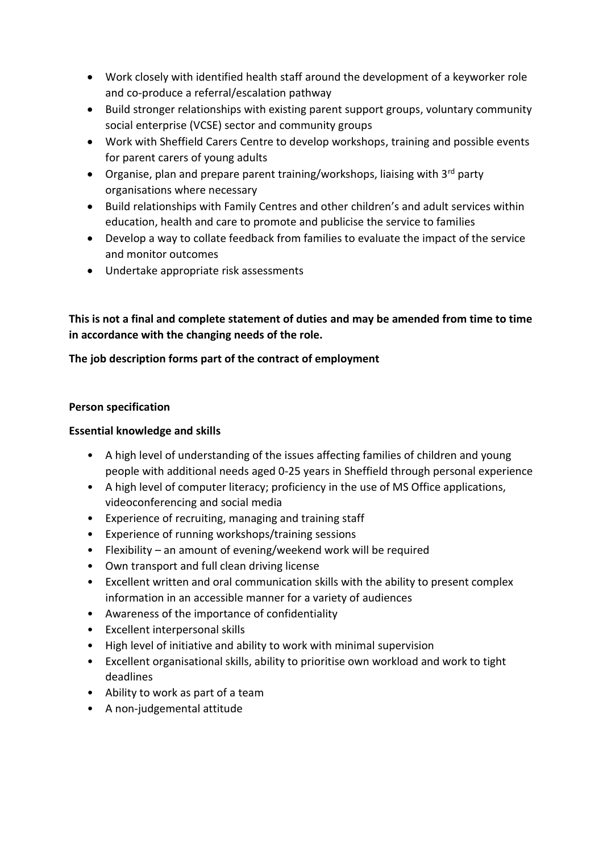- Work closely with identified health staff around the development of a keyworker role and co-produce a referral/escalation pathway
- Build stronger relationships with existing parent support groups, voluntary community social enterprise (VCSE) sector and community groups
- Work with Sheffield Carers Centre to develop workshops, training and possible events for parent carers of young adults
- Organise, plan and prepare parent training/workshops, liaising with  $3^{rd}$  party organisations where necessary
- Build relationships with Family Centres and other children's and adult services within education, health and care to promote and publicise the service to families
- Develop a way to collate feedback from families to evaluate the impact of the service and monitor outcomes
- Undertake appropriate risk assessments

**This is not a final and complete statement of duties and may be amended from time to time in accordance with the changing needs of the role.** 

# **The job description forms part of the contract of employment**

### **Person specification**

## **Essential knowledge and skills**

- A high level of understanding of the issues affecting families of children and young people with additional needs aged 0-25 years in Sheffield through personal experience
- A high level of computer literacy; proficiency in the use of MS Office applications, videoconferencing and social media
- Experience of recruiting, managing and training staff
- Experience of running workshops/training sessions
- Flexibility an amount of evening/weekend work will be required
- Own transport and full clean driving license
- Excellent written and oral communication skills with the ability to present complex information in an accessible manner for a variety of audiences
- Awareness of the importance of confidentiality
- Excellent interpersonal skills
- High level of initiative and ability to work with minimal supervision
- Excellent organisational skills, ability to prioritise own workload and work to tight deadlines
- Ability to work as part of a team
- A non-judgemental attitude